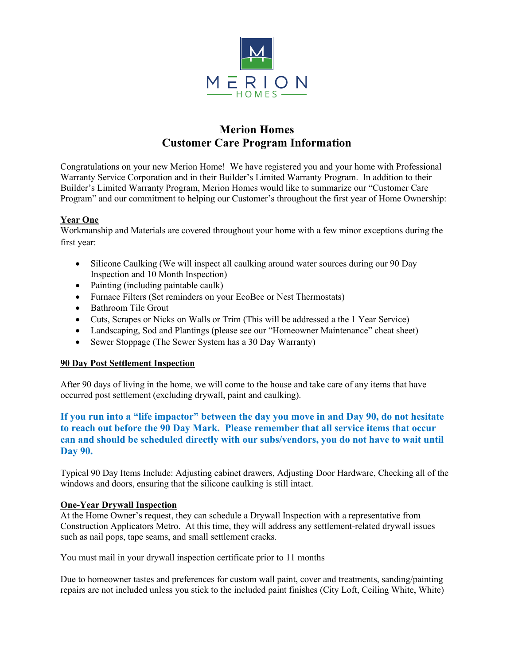

# **Merion Homes Customer Care Program Information**

Congratulations on your new Merion Home! We have registered you and your home with Professional Warranty Service Corporation and in their Builder's Limited Warranty Program. In addition to their Builder's Limited Warranty Program, Merion Homes would like to summarize our "Customer Care Program" and our commitment to helping our Customer's throughout the first year of Home Ownership:

## **Year One**

Workmanship and Materials are covered throughout your home with a few minor exceptions during the first year:

- Silicone Caulking (We will inspect all caulking around water sources during our 90 Day Inspection and 10 Month Inspection)
- Painting (including paintable caulk)
- Furnace Filters (Set reminders on your EcoBee or Nest Thermostats)
- Bathroom Tile Grout
- Cuts, Scrapes or Nicks on Walls or Trim (This will be addressed a the 1 Year Service)
- Landscaping, Sod and Plantings (please see our "Homeowner Maintenance" cheat sheet)
- Sewer Stoppage (The Sewer System has a 30 Day Warranty)

## **90 Day Post Settlement Inspection**

After 90 days of living in the home, we will come to the house and take care of any items that have occurred post settlement (excluding drywall, paint and caulking).

# **If you run into a "life impactor" between the day you move in and Day 90, do not hesitate to reach out before the 90 Day Mark. Please remember that all service items that occur can and should be scheduled directly with our subs/vendors, you do not have to wait until Day 90.**

Typical 90 Day Items Include: Adjusting cabinet drawers, Adjusting Door Hardware, Checking all of the windows and doors, ensuring that the silicone caulking is still intact.

#### **One-Year Drywall Inspection**

At the Home Owner's request, they can schedule a Drywall Inspection with a representative from Construction Applicators Metro. At this time, they will address any settlement-related drywall issues such as nail pops, tape seams, and small settlement cracks.

You must mail in your drywall inspection certificate prior to 11 months

Due to homeowner tastes and preferences for custom wall paint, cover and treatments, sanding/painting repairs are not included unless you stick to the included paint finishes (City Loft, Ceiling White, White)